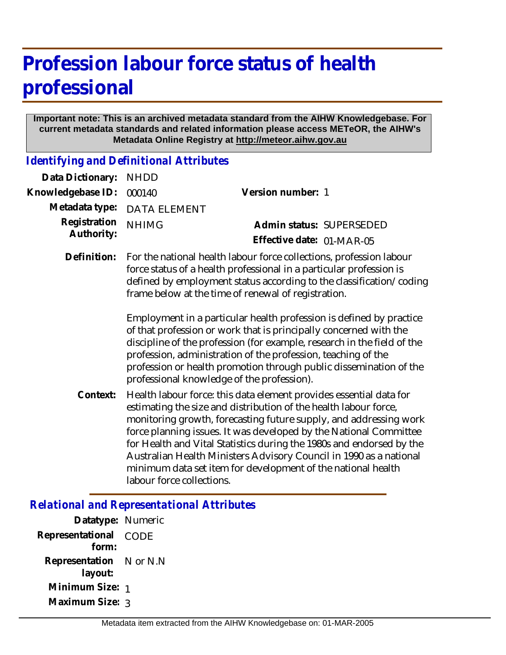# **Profession labour force status of health professional**

#### **Important note: This is an archived metadata standard from the AIHW Knowledgebase. For current metadata standards and related information please access METeOR, the AIHW's Metadata Online Registry at http://meteor.aihw.gov.au**

*Identifying and Definitional Attributes*

| Data Dictionary:           | <b>NHDD</b>                                                                                                                                                                                                                                                                                                                                                                                                                                                                                                                                                                                                                                                                          |                                                                                                                                                                                                                                                                                                                                                                                                                                                                                                |
|----------------------------|--------------------------------------------------------------------------------------------------------------------------------------------------------------------------------------------------------------------------------------------------------------------------------------------------------------------------------------------------------------------------------------------------------------------------------------------------------------------------------------------------------------------------------------------------------------------------------------------------------------------------------------------------------------------------------------|------------------------------------------------------------------------------------------------------------------------------------------------------------------------------------------------------------------------------------------------------------------------------------------------------------------------------------------------------------------------------------------------------------------------------------------------------------------------------------------------|
| Knowledgebase ID:          | 000140                                                                                                                                                                                                                                                                                                                                                                                                                                                                                                                                                                                                                                                                               | Version number: 1                                                                                                                                                                                                                                                                                                                                                                                                                                                                              |
| Metadata type:             | <b>DATA ELEMENT</b>                                                                                                                                                                                                                                                                                                                                                                                                                                                                                                                                                                                                                                                                  |                                                                                                                                                                                                                                                                                                                                                                                                                                                                                                |
| Registration<br>Authority: | <b>NHIMG</b>                                                                                                                                                                                                                                                                                                                                                                                                                                                                                                                                                                                                                                                                         | Admin status: SUPERSEDED                                                                                                                                                                                                                                                                                                                                                                                                                                                                       |
|                            |                                                                                                                                                                                                                                                                                                                                                                                                                                                                                                                                                                                                                                                                                      | Effective date: 01-MAR-05                                                                                                                                                                                                                                                                                                                                                                                                                                                                      |
| Definition:                | For the national health labour force collections, profession labour<br>force status of a health professional in a particular profession is<br>defined by employment status according to the classification/coding<br>frame below at the time of renewal of registration.<br>Employment in a particular health profession is defined by practice<br>of that profession or work that is principally concerned with the<br>discipline of the profession (for example, research in the field of the<br>profession, administration of the profession, teaching of the<br>profession or health promotion through public dissemination of the<br>professional knowledge of the profession). |                                                                                                                                                                                                                                                                                                                                                                                                                                                                                                |
| Context:                   | labour force collections.                                                                                                                                                                                                                                                                                                                                                                                                                                                                                                                                                                                                                                                            | Health labour force: this data element provides essential data for<br>estimating the size and distribution of the health labour force,<br>monitoring growth, forecasting future supply, and addressing work<br>force planning issues. It was developed by the National Committee<br>for Health and Vital Statistics during the 1980s and endorsed by the<br>Australian Health Ministers Advisory Council in 1990 as a national<br>minimum data set item for development of the national health |

# *Relational and Representational Attributes*

| Datatype: Numeric         |          |
|---------------------------|----------|
| Representational<br>form: | CODE     |
|                           |          |
| Representation            | N or N.N |
| layout:                   |          |
| Minimum Size: 1           |          |
| Maximum Size: 3           |          |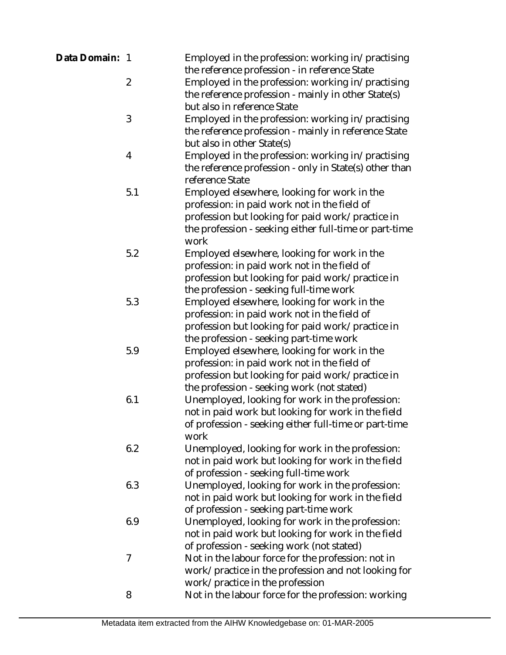| Data Domain: 1 |                | Employed in the profession: working in/practising                                                     |
|----------------|----------------|-------------------------------------------------------------------------------------------------------|
|                | $\overline{2}$ | the reference profession - in reference State<br>Employed in the profession: working in/practising    |
|                |                | the reference profession - mainly in other State(s)                                                   |
|                |                | but also in reference State                                                                           |
|                | 3              | Employed in the profession: working in/practising                                                     |
|                |                | the reference profession - mainly in reference State                                                  |
|                |                | but also in other State(s)                                                                            |
|                | 4              | Employed in the profession: working in/practising                                                     |
|                |                | the reference profession - only in State(s) other than                                                |
|                |                | reference State                                                                                       |
|                | 5.1            | Employed elsewhere, looking for work in the                                                           |
|                |                | profession: in paid work not in the field of                                                          |
|                |                | profession but looking for paid work/practice in                                                      |
|                |                | the profession - seeking either full-time or part-time                                                |
|                |                | work                                                                                                  |
|                | 5.2            | Employed elsewhere, looking for work in the                                                           |
|                |                | profession: in paid work not in the field of                                                          |
|                |                | profession but looking for paid work/practice in                                                      |
|                |                | the profession - seeking full-time work                                                               |
|                | 5.3            | Employed elsewhere, looking for work in the                                                           |
|                |                | profession: in paid work not in the field of                                                          |
|                |                | profession but looking for paid work/practice in                                                      |
|                |                | the profession - seeking part-time work                                                               |
|                | 5.9            | Employed elsewhere, looking for work in the                                                           |
|                |                | profession: in paid work not in the field of                                                          |
|                |                | profession but looking for paid work/practice in                                                      |
|                |                | the profession - seeking work (not stated)                                                            |
|                | 6.1            | Unemployed, looking for work in the profession:                                                       |
|                |                | not in paid work but looking for work in the field                                                    |
|                |                | of profession - seeking either full-time or part-time                                                 |
|                |                | work                                                                                                  |
|                | 6.2            | Unemployed, looking for work in the profession:                                                       |
|                |                | not in paid work but looking for work in the field                                                    |
|                |                | of profession - seeking full-time work                                                                |
|                | 6.3            | Unemployed, looking for work in the profession:                                                       |
|                |                | not in paid work but looking for work in the field                                                    |
|                | 6.9            | of profession - seeking part-time work                                                                |
|                |                | Unemployed, looking for work in the profession:<br>not in paid work but looking for work in the field |
|                |                | of profession - seeking work (not stated)                                                             |
|                | $\overline{7}$ | Not in the labour force for the profession: not in                                                    |
|                |                | work/practice in the profession and not looking for                                                   |
|                |                | work/practice in the profession                                                                       |
|                | 8              | Not in the labour force for the profession: working                                                   |
|                |                |                                                                                                       |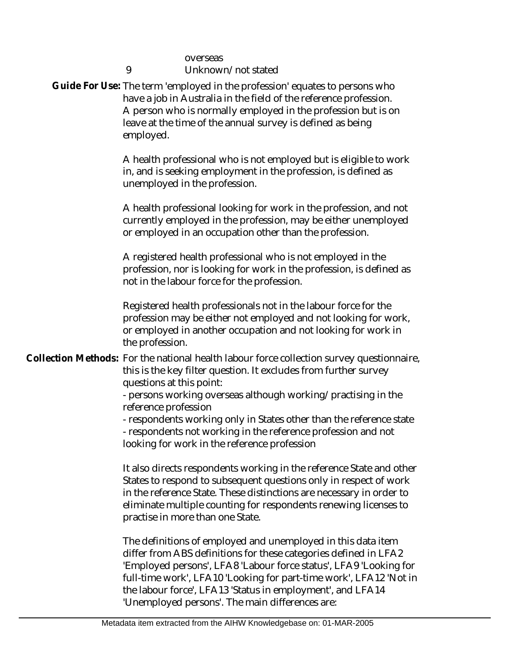|  | overseas<br>9<br>Unknown/not stated                                                                                                                                                                                                                                                                                       |
|--|---------------------------------------------------------------------------------------------------------------------------------------------------------------------------------------------------------------------------------------------------------------------------------------------------------------------------|
|  | Guide For Use: The term 'employed in the profession' equates to persons who<br>have a job in Australia in the field of the reference profession.<br>A person who is normally employed in the profession but is on<br>leave at the time of the annual survey is defined as being<br>employed.                              |
|  | A health professional who is not employed but is eligible to work<br>in, and is seeking employment in the profession, is defined as<br>unemployed in the profession.                                                                                                                                                      |
|  | A health professional looking for work in the profession, and not<br>currently employed in the profession, may be either unemployed<br>or employed in an occupation other than the profession.                                                                                                                            |
|  | A registered health professional who is not employed in the<br>profession, nor is looking for work in the profession, is defined as<br>not in the labour force for the profession.                                                                                                                                        |
|  | Registered health professionals not in the labour force for the<br>profession may be either not employed and not looking for work,<br>or employed in another occupation and not looking for work in<br>the profession.                                                                                                    |
|  | Collection Methods: For the national health labour force collection survey questionnaire,<br>this is the key filter question. It excludes from further survey<br>questions at this point:                                                                                                                                 |
|  | - persons working overseas although working/practising in the                                                                                                                                                                                                                                                             |
|  | reference profession<br>- respondents working only in States other than the reference state<br>- respondents not working in the reference profession and not<br>looking for work in the reference profession                                                                                                              |
|  | It also directs respondents working in the reference State and other<br>States to respond to subsequent questions only in respect of work<br>in the reference State. These distinctions are necessary in order to<br>eliminate multiple counting for respondents renewing licenses to<br>practise in more than one State. |
|  | The definitions of employed and unemployed in this data item<br>differ from ABS definitions for these categories defined in LFA2<br>'Employed persons', LFA8 'Labour force status', LFA9 'Looking for<br>full-time work', LFA10 'Looking for part-time work', LFA12 'Not in                                               |

'Unemployed persons'. The main differences are:

the labour force', LFA13 'Status in employment', and LFA14